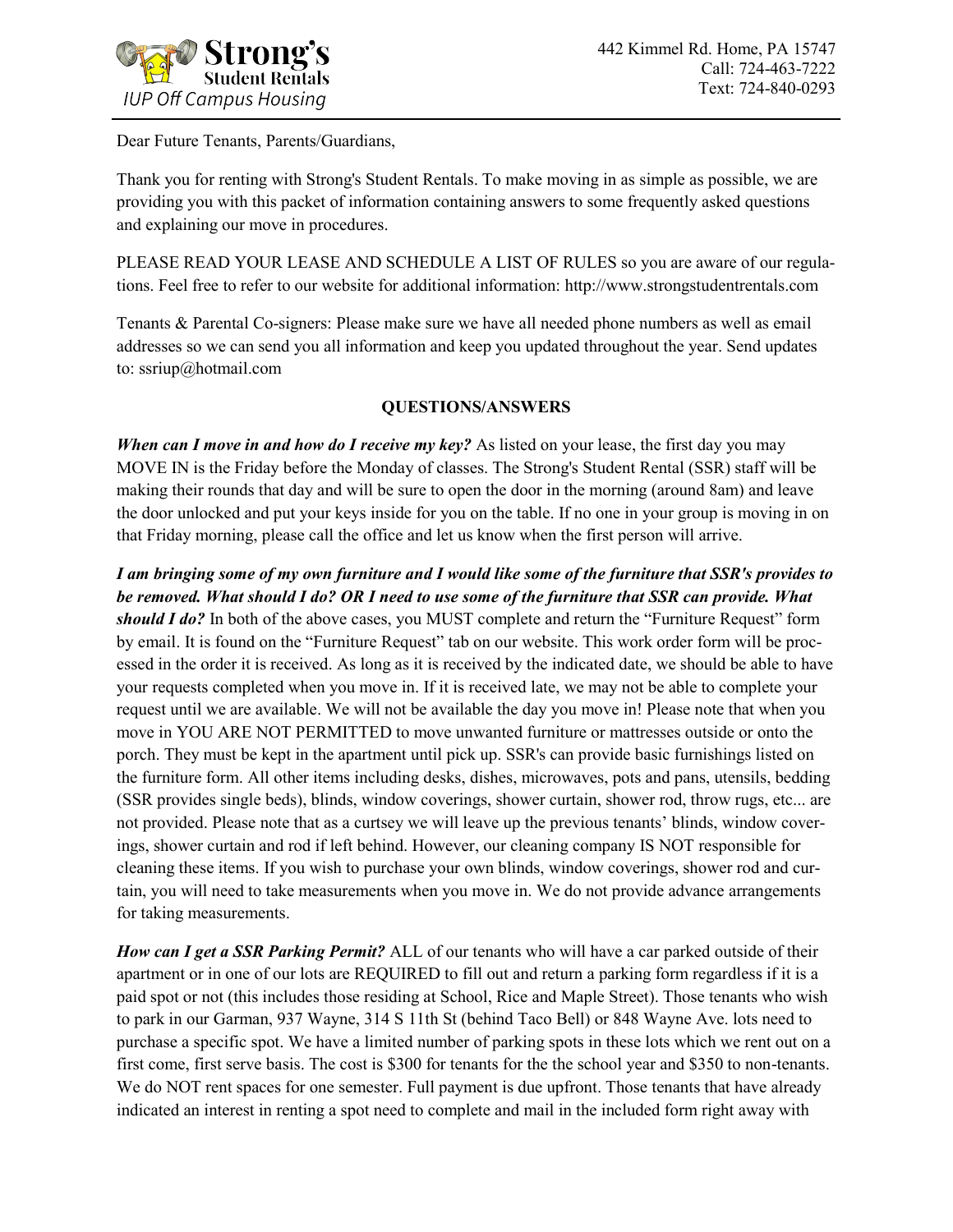

Dear Future Tenants, Parents/Guardians,

Thank you for renting with Strong's Student Rentals. To make moving in as simple as possible, we are providing you with this packet of information containing answers to some frequently asked questions and explaining our move in procedures.

PLEASE READ YOUR LEASE AND SCHEDULE A LIST OF RULES so you are aware of our regulations. Feel free to refer to our website for additional information: http://www.strongstudentrentals.com

Tenants & Parental Co-signers: Please make sure we have all needed phone numbers as well as email addresses so we can send you all information and keep you updated throughout the year. Send updates to: ssriup@hotmail.com

## **QUESTIONS/ANSWERS**

*When can I move in and how do I receive my key?* As listed on your lease, the first day you may MOVE IN is the Friday before the Monday of classes. The Strong's Student Rental (SSR) staff will be making their rounds that day and will be sure to open the door in the morning (around 8am) and leave the door unlocked and put your keys inside for you on the table. If no one in your group is moving in on that Friday morning, please call the office and let us know when the first person will arrive.

*I am bringing some of my own furniture and I would like some of the furniture that SSR's provides to be removed. What should I do? OR I need to use some of the furniture that SSR can provide. What should I do?* In both of the above cases, you MUST complete and return the "Furniture Request" form by email. It is found on the "Furniture Request" tab on our website. This work order form will be processed in the order it is received. As long as it is received by the indicated date, we should be able to have your requests completed when you move in. If it is received late, we may not be able to complete your request until we are available. We will not be available the day you move in! Please note that when you move in YOU ARE NOT PERMITTED to move unwanted furniture or mattresses outside or onto the porch. They must be kept in the apartment until pick up. SSR's can provide basic furnishings listed on the furniture form. All other items including desks, dishes, microwaves, pots and pans, utensils, bedding (SSR provides single beds), blinds, window coverings, shower curtain, shower rod, throw rugs, etc... are not provided. Please note that as a curtsey we will leave up the previous tenants' blinds, window coverings, shower curtain and rod if left behind. However, our cleaning company IS NOT responsible for cleaning these items. If you wish to purchase your own blinds, window coverings, shower rod and curtain, you will need to take measurements when you move in. We do not provide advance arrangements for taking measurements.

*How can I get a SSR Parking Permit?* ALL of our tenants who will have a car parked outside of their apartment or in one of our lots are REQUIRED to fill out and return a parking form regardless if it is a paid spot or not (this includes those residing at School, Rice and Maple Street). Those tenants who wish to park in our Garman, 937 Wayne, 314 S 11th St (behind Taco Bell) or 848 Wayne Ave. lots need to purchase a specific spot. We have a limited number of parking spots in these lots which we rent out on a first come, first serve basis. The cost is \$300 for tenants for the the school year and \$350 to non-tenants. We do NOT rent spaces for one semester. Full payment is due upfront. Those tenants that have already indicated an interest in renting a spot need to complete and mail in the included form right away with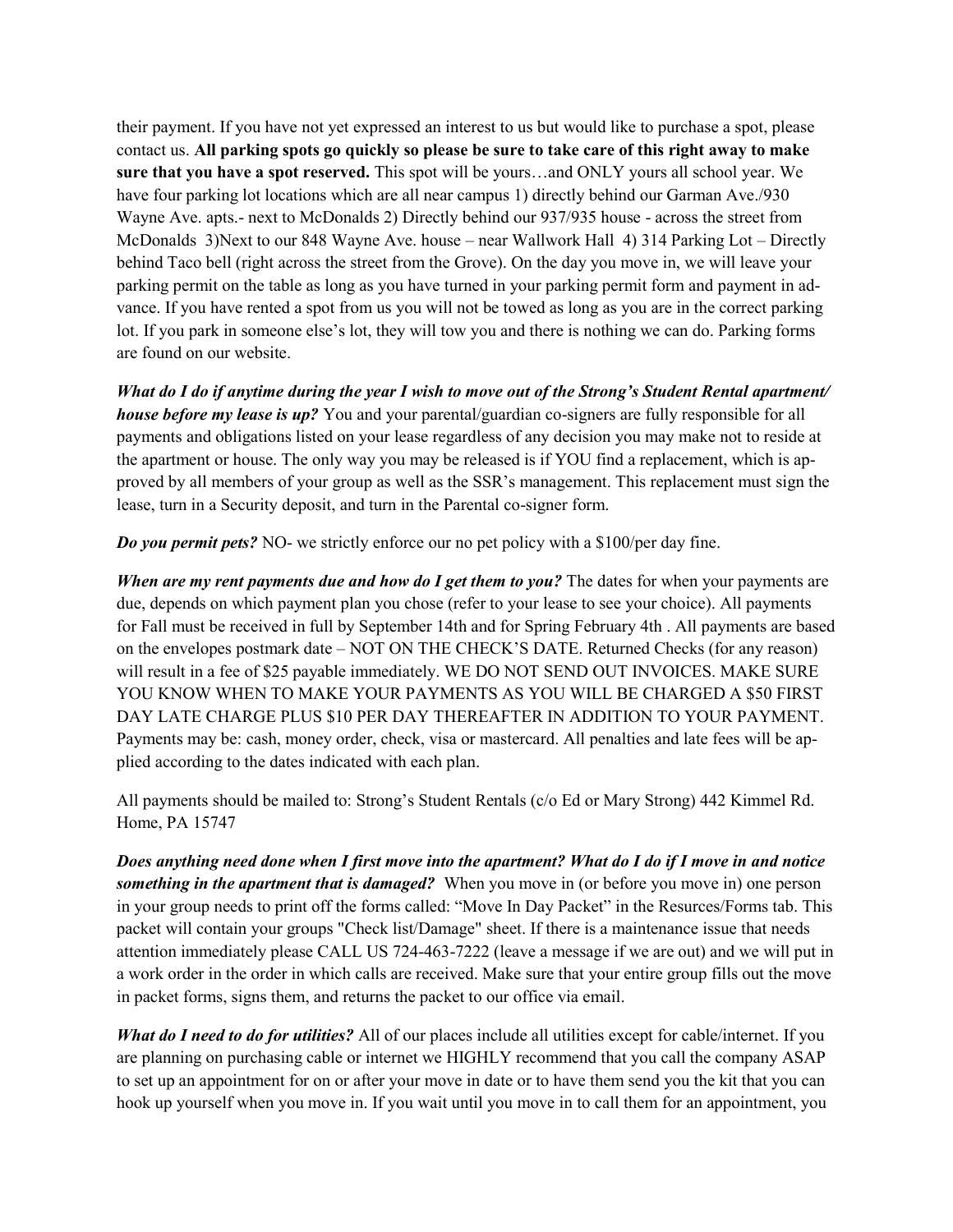their payment. If you have not yet expressed an interest to us but would like to purchase a spot, please contact us. **All parking spots go quickly so please be sure to take care of this right away to make sure that you have a spot reserved.** This spot will be yours…and ONLY yours all school year. We have four parking lot locations which are all near campus 1) directly behind our Garman Ave./930 Wayne Ave. apts.- next to McDonalds 2) Directly behind our 937/935 house - across the street from McDonalds 3)Next to our 848 Wayne Ave. house – near Wallwork Hall 4) 314 Parking Lot – Directly behind Taco bell (right across the street from the Grove). On the day you move in, we will leave your parking permit on the table as long as you have turned in your parking permit form and payment in advance. If you have rented a spot from us you will not be towed as long as you are in the correct parking lot. If you park in someone else's lot, they will tow you and there is nothing we can do. Parking forms are found on our website.

*What do I do if anytime during the year I wish to move out of the Strong's Student Rental apartment/ house before my lease is up?* You and your parental/guardian co-signers are fully responsible for all payments and obligations listed on your lease regardless of any decision you may make not to reside at the apartment or house. The only way you may be released is if YOU find a replacement, which is approved by all members of your group as well as the SSR's management. This replacement must sign the lease, turn in a Security deposit, and turn in the Parental co-signer form.

*Do you permit pets?* NO- we strictly enforce our no pet policy with a \$100/per day fine.

*When are my rent payments due and how do I get them to you?* The dates for when your payments are due, depends on which payment plan you chose (refer to your lease to see your choice). All payments for Fall must be received in full by September 14th and for Spring February 4th . All payments are based on the envelopes postmark date – NOT ON THE CHECK'S DATE. Returned Checks (for any reason) will result in a fee of \$25 payable immediately. WE DO NOT SEND OUT INVOICES. MAKE SURE YOU KNOW WHEN TO MAKE YOUR PAYMENTS AS YOU WILL BE CHARGED A \$50 FIRST DAY LATE CHARGE PLUS \$10 PER DAY THEREAFTER IN ADDITION TO YOUR PAYMENT. Payments may be: cash, money order, check, visa or mastercard. All penalties and late fees will be applied according to the dates indicated with each plan.

All payments should be mailed to: Strong's Student Rentals (c/o Ed or Mary Strong) 442 Kimmel Rd. Home, PA 15747

*Does anything need done when I first move into the apartment? What do I do if I move in and notice something in the apartment that is damaged?* When you move in (or before you move in) one person in your group needs to print off the forms called: "Move In Day Packet" in the Resurces/Forms tab. This packet will contain your groups "Check list/Damage" sheet. If there is a maintenance issue that needs attention immediately please CALL US 724-463-7222 (leave a message if we are out) and we will put in a work order in the order in which calls are received. Make sure that your entire group fills out the move in packet forms, signs them, and returns the packet to our office via email.

*What do I need to do for utilities?* All of our places include all utilities except for cable/internet. If you are planning on purchasing cable or internet we HIGHLY recommend that you call the company ASAP to set up an appointment for on or after your move in date or to have them send you the kit that you can hook up yourself when you move in. If you wait until you move in to call them for an appointment, you